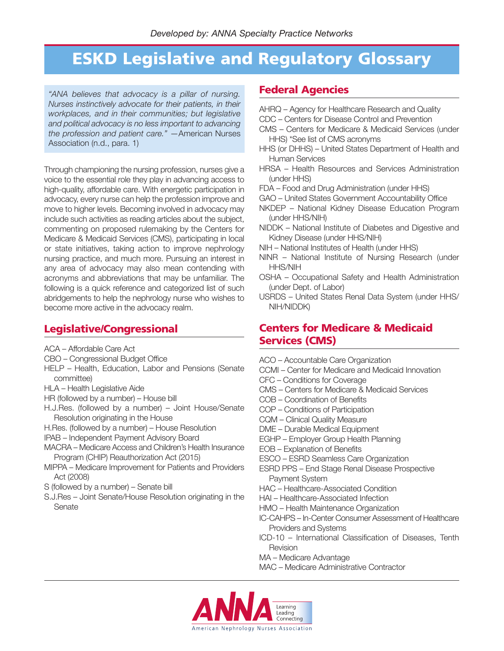# **ESKD Legislative and Regulatory Glossary**

*"ANA believes that advocacy is a pillar of nursing. Nurses instinctively advocate for their patients, in their workplaces, and in their communities; but legislative and political advocacy is no less important to advancing the profession and patient care."* —American Nurses Association (n.d., para. 1)

Through championing the nursing profession, nurses give a voice to the essential role they play in advancing access to high-quality, affordable care. With energetic participation in advocacy, every nurse can help the profession improve and move to higher levels. Becoming involved in advocacy may include such activities as reading articles about the subject, commenting on proposed rulemaking by the Centers for Medicare & Medicaid Services (CMS), participating in local or state initiatives, taking action to improve nephrology nursing practice, and much more. Pursuing an interest in any area of advocacy may also mean contending with acronyms and abbreviations that may be unfamiliar. The following is a quick reference and categorized list of such abridgements to help the nephrology nurse who wishes to become more active in the advocacy realm.

### **Legislative/Congressional**

- ACA Affordable Care Act
- CBO Congressional Budget Office
- HELP Health, Education, Labor and Pensions (Senate committee)
- HLA Health Legislative Aide
- HR (followed by a number) House bill
- H.J.Res. (followed by a number) Joint House/Senate Resolution originating in the House
- H.Res. (followed by a number) House Resolution
- IPAB Independent Payment Advisory Board
- MACRA Medicare Access and Children's Health Insurance Program (CHIP) Reauthorization Act (2015)
- MIPPA Medicare Improvement for Patients and Providers Act (2008)
- S (followed by a number) Senate bill
- S.J.Res Joint Senate/House Resolution originating in the Senate

### **Federal Agencies**

- AHRQ Agency for Healthcare Research and Quality
- CDC Centers for Disease Control and Prevention
- CMS Centers for Medicare & Medicaid Services (under HHS) \*See list of CMS acronyms
- HHS (or DHHS) United States Department of Health and Human Services
- HRSA Health Resources and Services Administration (under HHS)
- FDA Food and Drug Administration (under HHS)
- GAO United States Government Accountability Office
- NKDEP National Kidney Disease Education Program (under HHS/NIH)
- NIDDK National Institute of Diabetes and Digestive and Kidney Disease (under HHS/NIH)
- NIH National Institutes of Health (under HHS)
- NINR National Institute of Nursing Research (under HHS/NIH
- OSHA Occupational Safety and Health Administration (under Dept. of Labor)
- USRDS United States Renal Data System (under HHS/ NIH/NIDDK)

## **Centers for Medicare & Medicaid Services (CMS)**

- ACO Accountable Care Organization
- CCMI Center for Medicare and Medicaid Innovation
- CFC Conditions for Coverage
- CMS Centers for Medicare & Medicaid Services
- COB Coordination of Benefits
- COP Conditions of Participation
- CQM Clinical Quality Measure
- DME Durable Medical Equipment
- EGHP Employer Group Health Planning
- EOB Explanation of Benefits
- ESCO ESRD Seamless Care Organization
- ESRD PPS End Stage Renal Disease Prospective Payment System
- HAC Healthcare-Associated Condition
- HAI Healthcare-Associated Infection
- HMO Health Maintenance Organization
- IC-CAHPS In-Center Consumer Assessment of Healthcare Providers and Systems
- ICD-10 International Classification of Diseases, Tenth Revision
- MA Medicare Advantage
- MAC Medicare Administrative Contractor

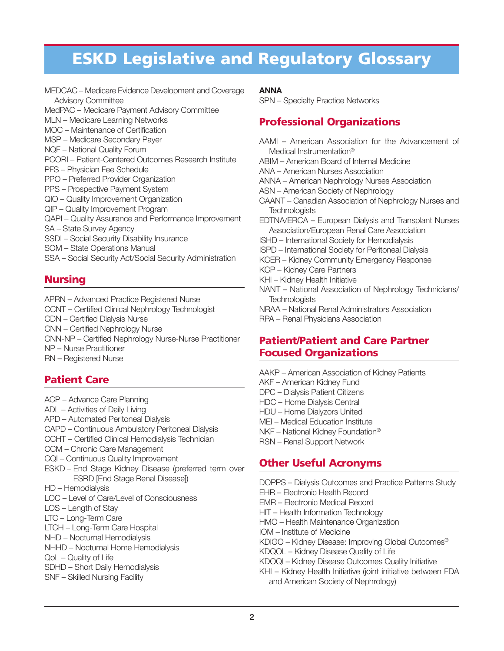# **ESKD Legislative and Regulatory Glossary**

MEDCAC – Medicare Evidence Development and Coverage Advisory Committee

MedPAC – Medicare Payment Advisory Committee

MLN – Medicare Learning Networks

MOC – Maintenance of Certification

- MSP Medicare Secondary Payer
- NQF National Quality Forum

PCORI – Patient-Centered Outcomes Research Institute

PFS – Physician Fee Schedule

PPO – Preferred Provider Organization

PPS – Prospective Payment System

QIO – Quality Improvement Organization

QIP – Quality Improvement Program

QAPI – Quality Assurance and Performance Improvement

SA – State Survey Agency

- SSDI Social Security Disability Insurance
- SOM State Operations Manual

SSA – Social Security Act/Social Security Administration

## **Nursing**

APRN – Advanced Practice Registered Nurse CCNT – Certified Clinical Nephrology Technologist CDN – Certified Dialysis Nurse CNN – Certified Nephrology Nurse CNN-NP – Certified Nephrology Nurse-Nurse Practitioner NP – Nurse Practitioner RN – Registered Nurse

# **Patient Care**

- ACP Advance Care Planning
- ADL Activities of Daily Living
- APD Automated Peritoneal Dialysis

CAPD – Continuous Ambulatory Peritoneal Dialysis

- CCHT Certified Clinical Hemodialysis Technician
- CCM Chronic Care Management
- CQI Continuous Quality Improvement
- ESKD End Stage Kidney Disease (preferred term over ESRD [End Stage Renal Disease])
- HD Hemodialysis
- LOC Level of Care/Level of Consciousness
- LOS Length of Stay
- LTC Long-Term Care
- LTCH Long-Term Care Hospital
- NHD Nocturnal Hemodialysis
- NHHD Nocturnal Home Hemodialysis
- QoL Quality of Life
- SDHD Short Daily Hemodialysis
- SNF Skilled Nursing Facility

### **ANNA**

SPN – Specialty Practice Networks

# **Professional Organizations**

- AAMI American Association for the Advancement of Medical Instrumentation®
- ABIM American Board of Internal Medicine
- ANA American Nurses Association

ANNA – American Nephrology Nurses Association

- ASN American Society of Nephrology
- CAANT Canadian Association of Nephrology Nurses and **Technologists**
- EDTNA/ERCA European Dialysis and Transplant Nurses Association/European Renal Care Association
- ISHD International Society for Hemodialysis
- ISPD International Society for Peritoneal Dialysis

KCER – Kidney Community Emergency Response

- KCP Kidney Care Partners
- KHI Kidney Health Initiative
- NANT National Association of Nephrology Technicians/ **Technologists**
- NRAA National Renal Administrators Association RPA – Renal Physicians Association

### **Patient/Patient and Care Partner Focused Organizations**

- AAKP American Association of Kidney Patients
- AKF American Kidney Fund
- DPC Dialysis Patient Citizens
- HDC Home Dialysis Central
- HDU Home Dialyzors United
- MEI Medical Education Institute
- NKF National Kidney Foundation®
- RSN Renal Support Network

## **Other Useful Acronyms**

DOPPS – Dialysis Outcomes and Practice Patterns Study

- EHR Electronic Health Record
- EMR Electronic Medical Record
- HIT Health Information Technology
- HMO Health Maintenance Organization
- IOM Institute of Medicine
- KDIGO Kidney Disease: Improving Global Outcomes®
- KDQOL Kidney Disease Quality of Life
- KDOQI Kidney Disease Outcomes Quality Initiative
- KHI Kidney Health Initiative (joint initiative between FDA and American Society of Nephrology)